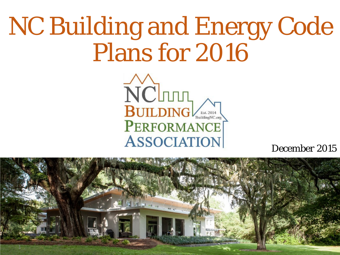## NC Building and Energy Code Plans for 2016

NCITUTE BUILDING PERFORMANCE **ASSOCIATION** 

*December 2015*

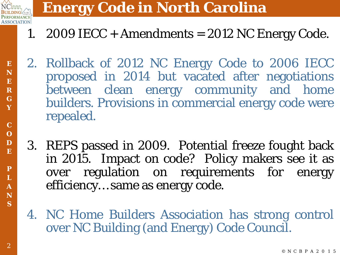

### **Energy Code in North Carolina**

- 1. 2009 IECC + Amendments =  $2012$  NC Energy Code.
- 2. Rollback of 2012 NC Energy Code to 2006 IECC proposed in 2014 but vacated after negotiations between clean energy community and home builders. Provisions in commercial energy code were repealed.
- 3. REPS passed in 2009. Potential freeze fought back in 2015. Impact on code? Policy makers see it as over regulation on requirements for energy efficiency… same as energy code.
- 4. NC Home Builders Association has strong control over NC Building (and Energy) Code Council.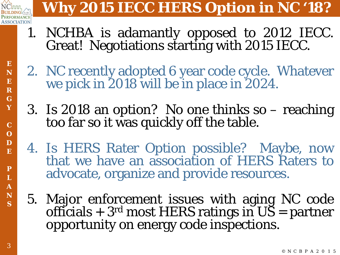

© **Y**

**E N E R G**

> **C** B **C** P **O** A **D**

2 **E**

5 **P**

**L A N S**

## **Why 2015 IECC HERS Option in NC '18?**

- 1. NCHBA is adamantly opposed to <sup>2012</sup> IECC. Great! Negotiations starting with <sup>2015</sup> IECC.
- 2. NC recently adopted 6 year code cycle. Whatever we pick in 2018 will be in place in 2024.
- 3. Is 2018 an option? No one thinks so reaching too far so it was quickly off the table.
- 4. Is HERS Rater Option possible? Maybe, now that we have an association of HERS Raters to advocate, organize and provide resources.
- 5. Major enforcement issues with aging NC code officials +  $3^{\text{rd}}$  most HERS ratings in  $\overline{\text{US}}$  = partner opportunity on energy code inspections.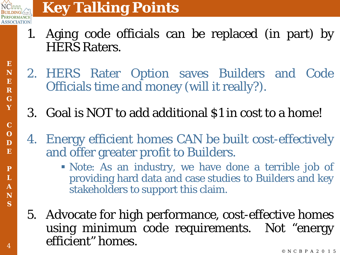

- 1. Aging code officials can be replaced (in part) by HERS Raters.
- 2. HERS Rater Option saves Builders and Code Officials time and money (will it really?).
- 3. Goal is NOT to add additional \$1 in cost to a home!
- 4. Energy efficient homes CAN be built cost-effectively and offer greater profit to Builders.
	- Note: As an industry, we have done a terrible job of providing hard data and case studies to Builders and key stakeholders to support this claim.
- 5. Advocate for high performance, cost-effective homes using minimum code requirements. Not "energy efficient" homes.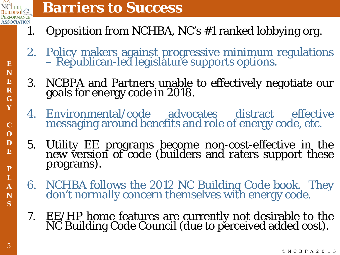

**E**

#### **Barriers to Success**

- 1. Opposition from NCHBA, NC's #1 ranked lobbying org.
- 2. Policy makers against progressive minimum regulations Republican-led legislature supports options.
- 3. NCBPA and Partners unable to effectively negotiate our goals for energy code in 2018.
- 4. Environmental/code advocates distract effective messaging around benefits and role of energy code, etc.
- 5. Utility EE programs become non-cost-effective in the new version of code (builders and raters support these programs).
- 6. NCHBA follows the <sup>2012</sup> NC Building Code book. They don't normally concern themselves with energy code.
- 7. EE/HP home features are currently not desirable to the NC Building Code Council (due to perceived added cost).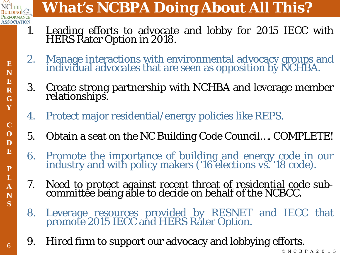

© **Y**

**E N E R G**

> **C** B **C** P **O** A **D**

2 **E**

5 **P**

**L A N S**

6

## **What's NCBPA Doing About All This?**

- 1. Leading efforts to advocate and lobby for 2015 IECC with HERS Rater Option in 2018.
- 2. Manage interactions with environmental advocacy groups and individual advocates that are seen as opposition by NCHBA.
- 3. Create strong partnership with NCHBA and leverage member relationships.
- 4. Protect major residential/energy policies like REPS.
- 5. Obtain a seat on the NC Building Code Council…. COMPLETE!
- 6. Promote the importance of building and energy code in our industry and with policy makers ('16 elections vs. '18 code).
- 7. Need to protect against recent threat of residential code sub- committee being able to decide on behalf of the NCBCC.
- 8. Leverage resources provided by RESNET and IECC that promote 2015 IECC and HERS Rater Option.
- 9. Hired firm to support our advocacy and lobbying efforts.